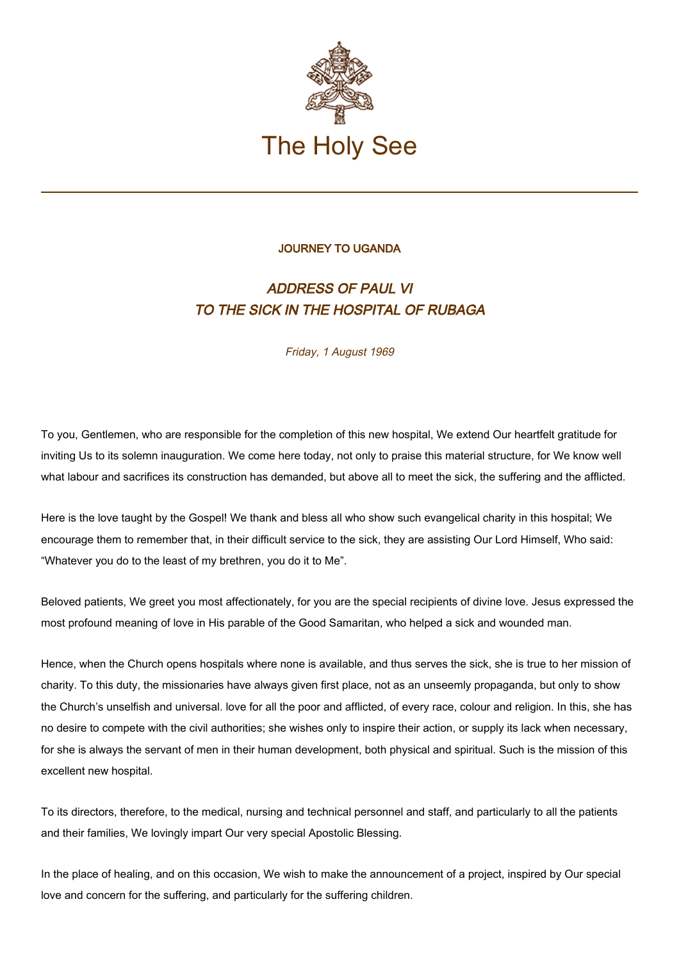

## JOURNEY TO UGANDA

## ADDRESS OF PAUL VI TO THE SICK IN THE HOSPITAL OF RUBAGA

Friday, 1 August 1969

To you, Gentlemen, who are responsible for the completion of this new hospital, We extend Our heartfelt gratitude for inviting Us to its solemn inauguration. We come here today, not only to praise this material structure, for We know well what labour and sacrifices its construction has demanded, but above all to meet the sick, the suffering and the afflicted.

Here is the love taught by the Gospel! We thank and bless all who show such evangelical charity in this hospital; We encourage them to remember that, in their difficult service to the sick, they are assisting Our Lord Himself, Who said: "Whatever you do to the least of my brethren, you do it to Me".

Beloved patients, We greet you most affectionately, for you are the special recipients of divine love. Jesus expressed the most profound meaning of love in His parable of the Good Samaritan, who helped a sick and wounded man.

Hence, when the Church opens hospitals where none is available, and thus serves the sick, she is true to her mission of charity. To this duty, the missionaries have always given first place, not as an unseemly propaganda, but only to show the Church's unselfish and universal. love for all the poor and afflicted, of every race, colour and religion. In this, she has no desire to compete with the civil authorities; she wishes only to inspire their action, or supply its lack when necessary, for she is always the servant of men in their human development, both physical and spiritual. Such is the mission of this excellent new hospital.

To its directors, therefore, to the medical, nursing and technical personnel and staff, and particularly to all the patients and their families, We lovingly impart Our very special Apostolic Blessing.

In the place of healing, and on this occasion, We wish to make the announcement of a project, inspired by Our special love and concern for the suffering, and particularly for the suffering children.